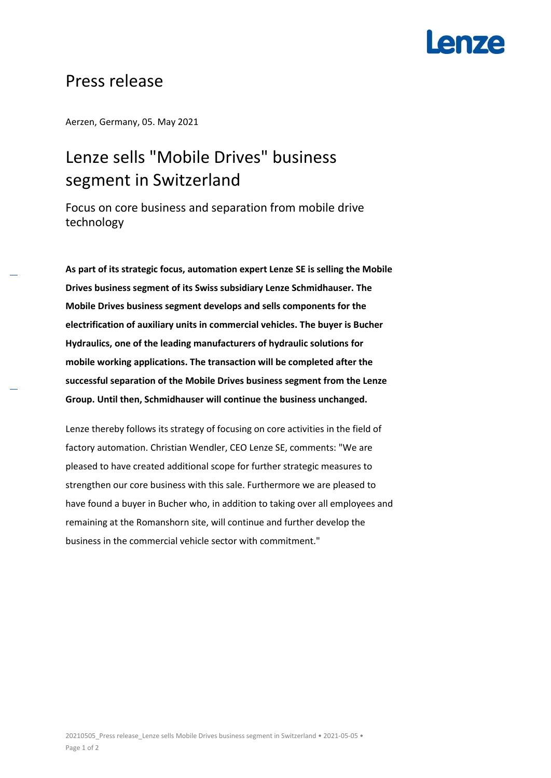## **Lenze**

### Press release

Aerzen, Germany, 05. May 2021

### Lenze sells "Mobile Drives" business segment in Switzerland

Focus on core business and separation from mobile drive technology

**As part of its strategic focus, automation expert Lenze SE is selling the Mobile Drives business segment of its Swiss subsidiary Lenze Schmidhauser. The Mobile Drives business segment develops and sells components for the electrification of auxiliary units in commercial vehicles. The buyer is Bucher Hydraulics, one of the leading manufacturers of hydraulic solutions for mobile working applications. The transaction will be completed after the successful separation of the Mobile Drives business segment from the Lenze Group. Until then, Schmidhauser will continue the business unchanged.**

Lenze thereby follows its strategy of focusing on core activities in the field of factory automation. Christian Wendler, CEO Lenze SE, comments: "We are pleased to have created additional scope for further strategic measures to strengthen our core business with this sale. Furthermore we are pleased to have found a buyer in Bucher who, in addition to taking over all employees and remaining at the Romanshorn site, will continue and further develop the business in the commercial vehicle sector with commitment."